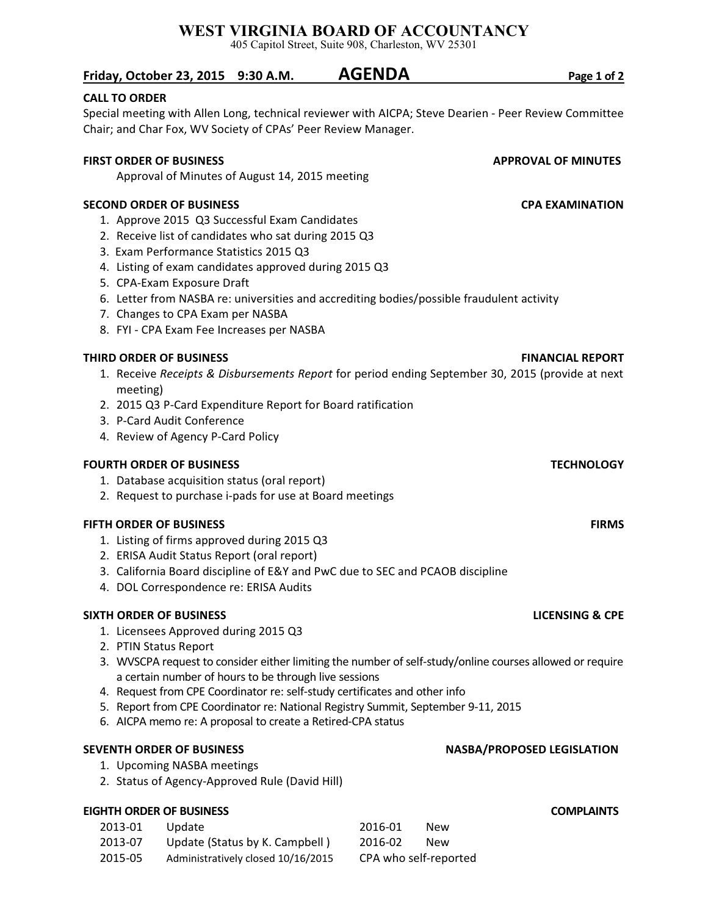# **WEST VIRGINIA BOARD OF ACCOUNTANCY**

405 Capitol Street, Suite 908, Charleston, WV 25301

## **CALL TO ORDER**

Special meeting with Allen Long, technical reviewer with AICPA; Steve Dearien - Peer Review Committee Chair; and Char Fox, WV Society of CPAs' Peer Review Manager.

### **FIRST ORDER OF BUSINESS APPROVAL OF MINUTES**

Approval of Minutes of August 14, 2015 meeting

### **SECOND ORDER OF BUSINESS CPA EXAMINATION**

- 1. Approve 2015 Q3 Successful Exam Candidates
- 2. Receive list of candidates who sat during 2015 Q3
- 3. Exam Performance Statistics 2015 Q3
- 4. Listing of exam candidates approved during 2015 Q3
- 5. CPA-Exam Exposure Draft
- 6. Letter from NASBA re: universities and accrediting bodies/possible fraudulent activity
- 7. Changes to CPA Exam per NASBA
- 8. FYI CPA Exam Fee Increases per NASBA

### **THIRD ORDER OF BUSINESS FINANCIAL REPORT**

- 1. Receive *Receipts & Disbursements Report* for period ending September 30, 2015 (provide at next meeting)
- 2. 2015 Q3 P-Card Expenditure Report for Board ratification
- 3. P-Card Audit Conference
- 4. Review of Agency P-Card Policy

### **FOURTH ORDER OF BUSINESS TECHNOLOGY**

- 1. Database acquisition status (oral report)
- 2. Request to purchase i-pads for use at Board meetings

### **FIFTH ORDER OF BUSINESS FIRMS**

- 1. Listing of firms approved during 2015 Q3
- 2. ERISA Audit Status Report (oral report)
- 3. California Board discipline of E&Y and PwC due to SEC and PCAOB discipline
- 4. DOL Correspondence re: ERISA Audits

### **SIXTH ORDER OF BUSINESS LICENSING & CPE**

- 1. Licensees Approved during 2015 Q3
- 2. PTIN Status Report
- 3. WVSCPA request to consider either limiting the number ofself-study/online courses allowed or require a certain number of hours to be through live sessions
- 4. Request from CPE Coordinator re: self-study certificates and other info
- 5. Report from CPE Coordinator re: National Registry Summit, September 9-11, 2015
- 6. AICPA memo re: A proposal to create a Retired-CPA status

- 1. Upcoming NASBA meetings
- 2. Status of Agency-Approved Rule (David Hill)

### **EIGHTH ORDER OF BUSINESS COMPLAINTS**

| 2013-01 | Update                             | 2016-01 | <b>New</b>            |
|---------|------------------------------------|---------|-----------------------|
| 2013-07 | Update (Status by K. Campbell)     | 2016-02 | <b>New</b>            |
| 2015-05 | Administratively closed 10/16/2015 |         | CPA who self-reported |

**SEVENTH ORDER OF BUSINESS NASBA/PROPOSED LEGISLATION**

**Friday, October 23, 2015 9:30 A.M. AGENDA Page 1 of 2**